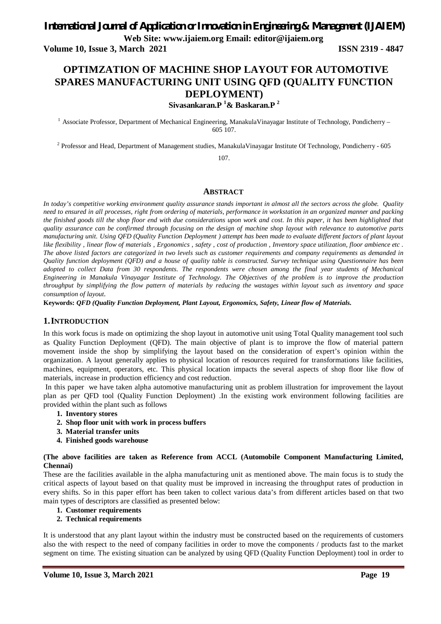# *International Journal of Application or Innovation in Engineering & Management (IJAIEM)*

**Web Site: www.ijaiem.org Email: editor@ijaiem.org**

**Volume 10, Issue 3, March 2021 ISSN 2319 - 4847**

## **OPTIMZATION OF MACHINE SHOP LAYOUT FOR AUTOMOTIVE SPARES MANUFACTURING UNIT USING QFD (QUALITY FUNCTION DEPLOYMENT)**

**Sivasankaran.P <sup>1</sup>& Baskaran.P <sup>2</sup>**

<sup>1</sup> Associate Professor, Department of Mechanical Engineering, ManakulaVinayagar Institute of Technology, Pondicherry – 605 107.

 $^2$  Professor and Head, Department of Management studies, ManakulaVinayagar Institute Of Technology, Pondicherry - 605

107.

#### **ABSTRACT**

*In today's competitive working environment quality assurance stands important in almost all the sectors across the globe. Quality need to ensured in all processes, right from ordering of materials, performance in workstation in an organized manner and packing the finished goods till the shop floor end with due considerations upon work and cost. In this paper, it has been highlighted that quality assurance can be confirmed through focusing on the design of machine shop layout with relevance to automotive parts manufacturing unit. Using QFD (Quality Function Deployment ) attempt has been made to evaluate different factors of plant layout like flexibility , linear flow of materials , Ergonomics , safety , cost of production , Inventory space utilization, floor ambience etc . The above listed factors are categorized in two levels such as customer requirements and company requirements as demanded in Quality function deployment (QFD) and a house of quality table is constructed. Survey technique using Questionnaire has been adopted to collect Data from 30 respondents. The respondents were chosen among the final year students of Mechanical Engineering in Manakula Vinayagar Institute of Technology. The Objectives of the problem is to improve the production throughput by simplifying the flow pattern of materials by reducing the wastages within layout such as inventory and space consumption of layout.*

**Keywords:** *QFD (Quality Function Deployment, Plant Layout, Ergonomics, Safety, Linear flow of Materials.*

#### **1.INTRODUCTION**

In this work focus is made on optimizing the shop layout in automotive unit using Total Quality management tool such as Quality Function Deployment (QFD). The main objective of plant is to improve the flow of material pattern movement inside the shop by simplifying the layout based on the consideration of expert's opinion within the organization. A layout generally applies to physical location of resources required for transformations like facilities, machines, equipment, operators, etc. This physical location impacts the several aspects of shop floor like flow of materials, increase in production efficiency and cost reduction.

In this paper we have taken alpha automotive manufacturing unit as problem illustration for improvement the layout plan as per QFD tool (Quality Function Deployment) .In the existing work environment following facilities are provided within the plant such as follows

- **1. Inventory stores**
- **2. Shop floor unit with work in process buffers**
- **3. Material transfer units**
- **4. Finished goods warehouse**

**(The above facilities are taken as Reference from ACCL (Automobile Component Manufacturing Limited, Chennai)**

These are the facilities available in the alpha manufacturing unit as mentioned above. The main focus is to study the critical aspects of layout based on that quality must be improved in increasing the throughput rates of production in every shifts. So in this paper effort has been taken to collect various data's from different articles based on that two main types of descriptors are classified as presented below:

- **1. Customer requirements**
- **2. Technical requirements**

It is understood that any plant layout within the industry must be constructed based on the requirements of customers also the with respect to the need of company facilities in order to move the components / products fast to the market segment on time. The existing situation can be analyzed by using QFD (Quality Function Deployment) tool in order to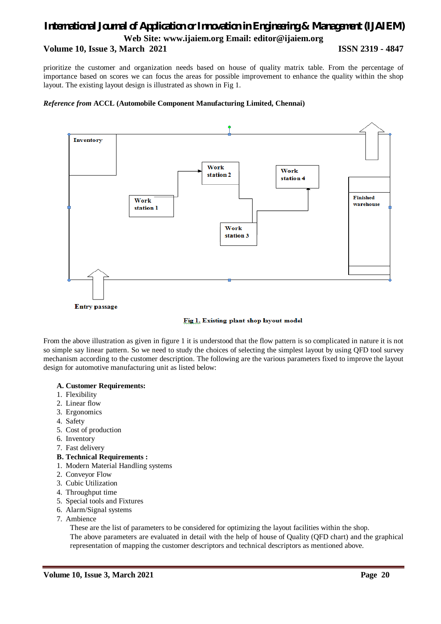#### **Volume 10, Issue 3, March 2021 ISSN 2319 - 4847**

prioritize the customer and organization needs based on house of quality matrix table. From the percentage of importance based on scores we can focus the areas for possible improvement to enhance the quality within the shop layout. The existing layout design is illustrated as shown in Fig 1.

#### *Reference from* **ACCL (Automobile Component Manufacturing Limited, Chennai)**





From the above illustration as given in figure 1 it is understood that the flow pattern is so complicated in nature it is not so simple say linear pattern. So we need to study the choices of selecting the simplest layout by using QFD tool survey mechanism according to the customer description. The following are the various parameters fixed to improve the layout design for automotive manufacturing unit as listed below:

#### **A. Customer Requirements:**

- 1. Flexibility
- 2. Linear flow
- 3. Ergonomics
- 4. Safety
- 5. Cost of production
- 6. Inventory
- 7. Fast delivery
- **B. Technical Requirements :**
- 1. Modern Material Handling systems
- 2. Conveyor Flow
- 3. Cubic Utilization
- 4. Throughput time
- 5. Special tools and Fixtures
- 6. Alarm/Signal systems
- 7. Ambience

These are the list of parameters to be considered for optimizing the layout facilities within the shop. The above parameters are evaluated in detail with the help of house of Quality (QFD chart) and the graphical representation of mapping the customer descriptors and technical descriptors as mentioned above.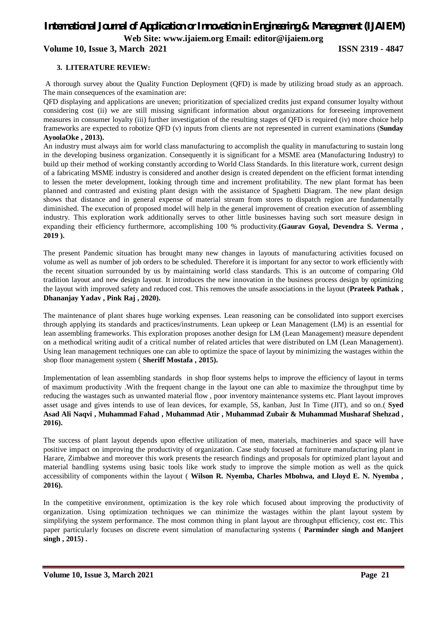**Volume 10, Issue 3, March 2021 ISSN 2319 - 4847** 

#### **3. LITERATURE REVIEW:**

A thorough survey about the Quality Function Deployment (QFD) is made by utilizing broad study as an approach. The main consequences of the examination are:

QFD displaying and applications are uneven; prioritization of specialized credits just expand consumer loyalty without considering cost (ii) we are still missing significant information about organizations for foreseeing improvement measures in consumer loyalty (iii) further investigation of the resulting stages of QFD is required (iv) more choice help frameworks are expected to robotize QFD (v) inputs from clients are not represented in current examinations (**Sunday AyoolaOke , 2013).**

An industry must always aim for world class manufacturing to accomplish the quality in manufacturing to sustain long in the developing business organization. Consequently it is significant for a MSME area (Manufacturing Industry) to build up their method of working constantly according to World Class Standards. In this literature work, current design of a fabricating MSME industry is considered and another design is created dependent on the efficient format intending to lessen the meter development, looking through time and increment profitability. The new plant format has been planned and contrasted and existing plant design with the assistance of Spaghetti Diagram. The new plant design shows that distance and in general expense of material stream from stores to dispatch region are fundamentally diminished. The execution of proposed model will help in the general improvement of creation execution of assembling industry. This exploration work additionally serves to other little businesses having such sort measure design in expanding their efficiency furthermore, accomplishing 100 % productivity.**(Gaurav Goyal, Devendra S. Verma , 2019 ).**

The present Pandemic situation has brought many new changes in layouts of manufacturing activities focused on volume as well as number of job orders to be scheduled. Therefore it is important for any sector to work efficiently with the recent situation surrounded by us by maintaining world class standards. This is an outcome of comparing Old tradition layout and new design layout. It introduces the new innovation in the business process design by optimizing the layout with improved safety and reduced cost. This removes the unsafe associations in the layout (**Prateek Pathak , Dhananjay Yadav , Pink Raj , 2020).**

The maintenance of plant shares huge working expenses. Lean reasoning can be consolidated into support exercises through applying its standards and practices/instruments. Lean upkeep or Lean Management (LM) is an essential for lean assembling frameworks. This exploration proposes another design for LM (Lean Management) measure dependent on a methodical writing audit of a critical number of related articles that were distributed on LM (Lean Management). Using lean management techniques one can able to optimize the space of layout by minimizing the wastages within the shop floor management system ( **Sheriff Mostafa , 2015).**

Implementation of lean assembling standards in shop floor systems helps to improve the efficiency of layout in terms of maximum productivity .With the frequent change in the layout one can able to maximize the throughput time by reducing the wastages such as unwanted material flow , poor inventory maintenance systems etc. Plant layout improves asset usage and gives intends to use of lean devices, for example, 5S, kanban, Just In Time (JIT), and so on.( **Syed Asad Ali Naqvi , Muhammad Fahad , Muhammad Atir , Muhammad Zubair & Muhammad Musharaf Shehzad , 2016).**

The success of plant layout depends upon effective utilization of men, materials, machineries and space will have positive impact on improving the productivity of organization. Case study focused at furniture manufacturing plant in Harare, Zimbabwe and moreover this work presents the research findings and proposals for optimized plant layout and material handling systems using basic tools like work study to improve the simple motion as well as the quick accessibility of components within the layout ( **Wilson R. Nyemba, Charles Mbohwa, and Lloyd E. N. Nyemba , 2016).**

In the competitive environment, optimization is the key role which focused about improving the productivity of organization. Using optimization techniques we can minimize the wastages within the plant layout system by simplifying the system performance. The most common thing in plant layout are throughput efficiency, cost etc. This paper particularly focuses on discrete event simulation of manufacturing systems ( **Parminder singh and Manjeet singh , 2015) .**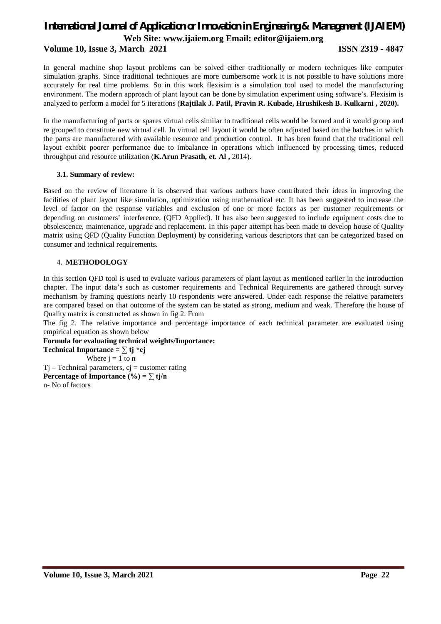#### **Volume 10, Issue 3, March 2021 ISSN 2319 - 4847**

In general machine shop layout problems can be solved either traditionally or modern techniques like computer simulation graphs. Since traditional techniques are more cumbersome work it is not possible to have solutions more accurately for real time problems. So in this work flexisim is a simulation tool used to model the manufacturing environment. The modern approach of plant layout can be done by simulation experiment using software's. Flexisim is analyzed to perform a model for 5 iterations (**Rajtilak J. Patil, Pravin R. Kubade, Hrushikesh B. Kulkarni , 2020).**

In the manufacturing of parts or spares virtual cells similar to traditional cells would be formed and it would group and re grouped to constitute new virtual cell. In virtual cell layout it would be often adjusted based on the batches in which the parts are manufactured with available resource and production control. It has been found that the traditional cell layout exhibit poorer performance due to imbalance in operations which influenced by processing times, reduced throughput and resource utilization (**K.Arun Prasath, et. Al ,** 2014).

#### **3.1. Summary of review:**

Based on the review of literature it is observed that various authors have contributed their ideas in improving the facilities of plant layout like simulation, optimization using mathematical etc. It has been suggested to increase the level of factor on the response variables and exclusion of one or more factors as per customer requirements or depending on customers' interference. (QFD Applied). It has also been suggested to include equipment costs due to obsolescence, maintenance, upgrade and replacement. In this paper attempt has been made to develop house of Quality matrix using QFD (Quality Function Deployment) by considering various descriptors that can be categorized based on consumer and technical requirements.

#### 4. **METHODOLOGY**

In this section QFD tool is used to evaluate various parameters of plant layout as mentioned earlier in the introduction chapter. The input data's such as customer requirements and Technical Requirements are gathered through survey mechanism by framing questions nearly 10 respondents were answered. Under each response the relative parameters are compared based on that outcome of the system can be stated as strong, medium and weak. Therefore the house of Quality matrix is constructed as shown in fig 2. From

The fig 2. The relative importance and percentage importance of each technical parameter are evaluated using empirical equation as shown below

#### **Formula for evaluating technical weights/Importance:**

**Technical Importance =**  $\sum$  **tj \*cj** Where  $j = 1$  to n  $Tj$  – Technical parameters,  $cj$  = customer rating **Percentage of Importance (%) =**  $\sum$  **tj/n** n- No of factors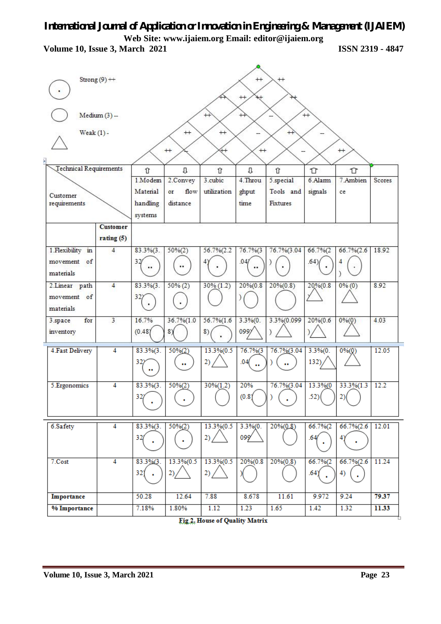**Volume 10, Issue 3, March 2021 ISSN 2319 - 4847**

| Strong $(9)$ ++<br>$^{+}$<br>$^{++}$<br>$^{++}$<br>$^{+}$<br>$Median (3) -$<br>$^{+}$<br>$^{++}$<br>Weak $(1)$ -<br>$^{+}$<br>$^{+}$<br>∔<br>$+$<br>$++$<br>$+$<br>— |                             |                                     |                                              |                     |                             |                             |                        |        |
|----------------------------------------------------------------------------------------------------------------------------------------------------------------------|-----------------------------|-------------------------------------|----------------------------------------------|---------------------|-----------------------------|-----------------------------|------------------------|--------|
| <b>Technical Requirements</b>                                                                                                                                        | Û<br>1.Modem                | U                                   | Û<br>3.cubic                                 | U<br>4. Throu       | Û                           | ⇧<br>6.Alam                 | ⇧<br>7.Ambien          | Scores |
|                                                                                                                                                                      | Material                    | 2.Convey<br>flow<br>or              | utilization                                  | ghput               | 5.special<br>Tools and      | signals                     |                        |        |
| Customer                                                                                                                                                             |                             |                                     |                                              | time                | Fixtures                    |                             | ce                     |        |
| requirements                                                                                                                                                         | handling<br>systems         | distance                            |                                              |                     |                             |                             |                        |        |
| <b>Customer</b>                                                                                                                                                      |                             |                                     |                                              |                     |                             |                             |                        |        |
| rating(5)                                                                                                                                                            |                             |                                     |                                              |                     |                             |                             |                        |        |
| 1. Flexibility in<br>4                                                                                                                                               | $83.3\%$ $(3.$              | $50\%(2)$                           | 56.7% (2.2                                   | 76.7%(3             | 76.7%(3.04                  | 66.7%(2                     | $66.7\%(2.6)$          | 18.92  |
| movement of<br>materials                                                                                                                                             | 32/<br>                     |                                     |                                              | .047<br>            |                             | .64)                        | 4                      |        |
| $\overline{4}$<br>2.Linear path                                                                                                                                      | $83.3\%$ $(3.$              | $50\% (2)$                          | $30\% (1.2)$                                 | 20%(0.8             | $20\%(0.8)$                 | $20\% (0.8)$                | 0% (0)                 | 8.92   |
| movement of<br>materials                                                                                                                                             | 32)                         |                                     |                                              |                     |                             |                             |                        |        |
| 3<br>3.space<br>for<br>inventory                                                                                                                                     | 16.7%<br>(0.48)             | 36.7%(1.0<br>8Y                     | $56.7\%$ $(1.6)$<br>8)                       | $3.3\%$ (0.<br>099  | 3.3%(0.099                  | 20% (0.6)                   | 0%(0)                  | 4.03   |
| <b>4.Fast Delivery</b><br>4                                                                                                                                          | $83.3\%$ $(3.$<br>32)       | $50\%(2)$<br>                       | 13.3%(0.5<br>2)                              | 76.7%(3<br>.04(     | 76.7%(3.04                  | $3.3\%$ (0.<br>132)         | $0%$ $(0)$             | 12.05  |
| 4<br>5.Ergonomics                                                                                                                                                    | $83.3\%$ $(3.$<br>32j       | $50%$ <sup>2</sup><br>$\mathcal{A}$ | $30\%(1.2)$                                  | 20%<br>(0.8)        | 76.7%(3.04<br>$\mathcal{L}$ | 13.3%(0<br>22)              | 33.3%(1.3)<br>2)       | 12.2   |
| 6.Safety<br>$\overline{4}$                                                                                                                                           | $83.3\%$ $(3.$<br>321<br>×. | $50\%(2)$<br>$\mathbf{r}$           | 13.3% (0.5<br>2) /                           | $3.3\%$ (0.<br>099' | $20\%(0.8)$                 | 66.7%(2<br>.64/             | $66.7\%$ $(2.6)$<br>4) | 12.01  |
| 7.Cost<br>$\overline{4}$                                                                                                                                             | 83.3%(3.<br>32)             | $13.3\%(0.5)$<br>2)/                | $13.3\% (0.5)$<br>2) /                       | 20% (0.8)           | $20\%(0.8)$                 | 66.7%<br>$.64$ <sup>Y</sup> | $66.7\%$ $(2.6)$<br>4) | 11.24  |
| Importance                                                                                                                                                           | 50.28                       | 12.64                               | 7.88                                         | 8.678               | 11.61                       | 9.972                       | 9.24                   | 79.37  |
| % Importance                                                                                                                                                         | 7.18%                       | 1.80%                               | 1.12<br><b>Eig 1 Hance of Opplite Matrix</b> | 1.23                | 1.65                        | 1.42                        | 1.32                   | 11.33  |

Fig.2. House of Quality Matrix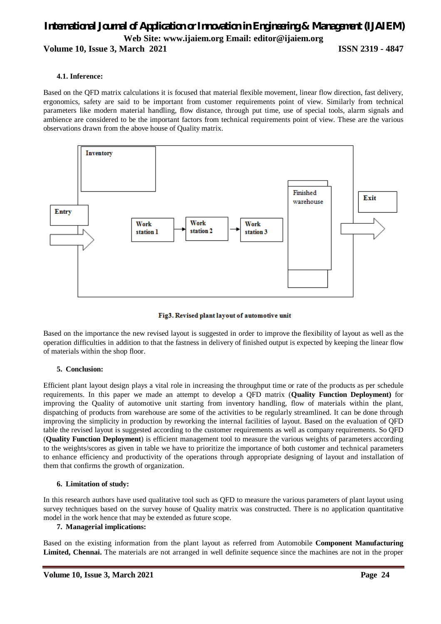**Volume 10, Issue 3, March 2021 ISSN 2319 - 4847** 

#### **4.1. Inference:**

Based on the QFD matrix calculations it is focused that material flexible movement, linear flow direction, fast delivery, ergonomics, safety are said to be important from customer requirements point of view. Similarly from technical parameters like modern material handling, flow distance, through put time, use of special tools, alarm signals and ambience are considered to be the important factors from technical requirements point of view. These are the various observations drawn from the above house of Quality matrix.



#### Fig3. Revised plant layout of automotive unit

Based on the importance the new revised layout is suggested in order to improve the flexibility of layout as well as the operation difficulties in addition to that the fastness in delivery of finished output is expected by keeping the linear flow of materials within the shop floor.

#### **5. Conclusion:**

Efficient plant layout design plays a vital role in increasing the throughput time or rate of the products as per schedule requirements. In this paper we made an attempt to develop a QFD matrix (**Quality Function Deployment)** for improving the Quality of automotive unit starting from inventory handling, flow of materials within the plant, dispatching of products from warehouse are some of the activities to be regularly streamlined. It can be done through improving the simplicity in production by reworking the internal facilities of layout. Based on the evaluation of QFD table the revised layout is suggested according to the customer requirements as well as company requirements. So QFD (**Quality Function Deployment**) is efficient management tool to measure the various weights of parameters according to the weights/scores as given in table we have to prioritize the importance of both customer and technical parameters to enhance efficiency and productivity of the operations through appropriate designing of layout and installation of them that confirms the growth of organization.

#### **6. Limitation of study:**

In this research authors have used qualitative tool such as QFD to measure the various parameters of plant layout using survey techniques based on the survey house of Quality matrix was constructed. There is no application quantitative model in the work hence that may be extended as future scope.

#### **7. Managerial implications:**

Based on the existing information from the plant layout as referred from Automobile **Component Manufacturing Limited, Chennai.** The materials are not arranged in well definite sequence since the machines are not in the proper